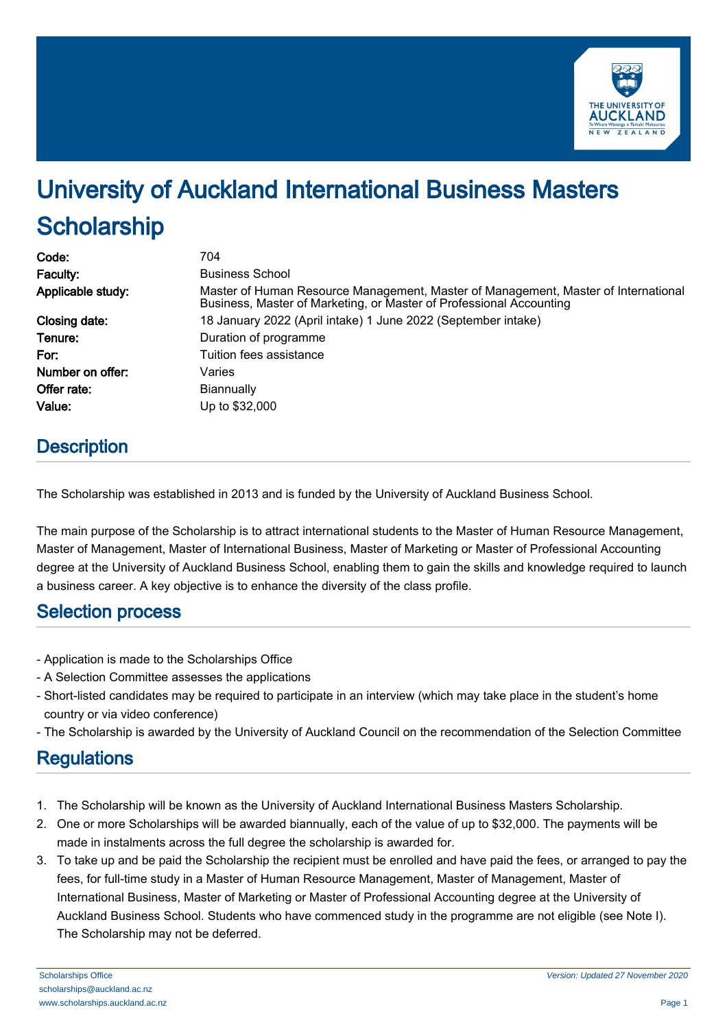

# University of Auckland International Business Masters **Scholarship**

| Code:             | 704                                                                                                                                                       |
|-------------------|-----------------------------------------------------------------------------------------------------------------------------------------------------------|
| Faculty:          | <b>Business School</b>                                                                                                                                    |
| Applicable study: | Master of Human Resource Management, Master of Management, Master of International<br>Business, Master of Marketing, or Master of Professional Accounting |
| Closing date:     | 18 January 2022 (April intake) 1 June 2022 (September intake)                                                                                             |
| Tenure:           | Duration of programme                                                                                                                                     |
| For:              | Tuition fees assistance                                                                                                                                   |
| Number on offer:  | Varies                                                                                                                                                    |
| Offer rate:       | <b>Biannually</b>                                                                                                                                         |
| Value:            | Up to \$32,000                                                                                                                                            |

## **Description**

The Scholarship was established in 2013 and is funded by the University of Auckland Business School.

The main purpose of the Scholarship is to attract international students to the Master of Human Resource Management, Master of Management, Master of International Business, Master of Marketing or Master of Professional Accounting degree at the University of Auckland Business School, enabling them to gain the skills and knowledge required to launch a business career. A key objective is to enhance the diversity of the class profile.

#### Selection process

- Application is made to the Scholarships Office
- A Selection Committee assesses the applications
- Short-listed candidates may be required to participate in an interview (which may take place in the student's home country or via video conference)
- The Scholarship is awarded by the University of Auckland Council on the recommendation of the Selection Committee

## **Regulations**

- 1. The Scholarship will be known as the University of Auckland International Business Masters Scholarship.
- 2. One or more Scholarships will be awarded biannually, each of the value of up to \$32,000. The payments will be made in instalments across the full degree the scholarship is awarded for.
- 3. To take up and be paid the Scholarship the recipient must be enrolled and have paid the fees, or arranged to pay the fees, for full-time study in a Master of Human Resource Management, Master of Management, Master of International Business, Master of Marketing or Master of Professional Accounting degree at the University of Auckland Business School. Students who have commenced study in the programme are not eligible (see Note I). The Scholarship may not be deferred.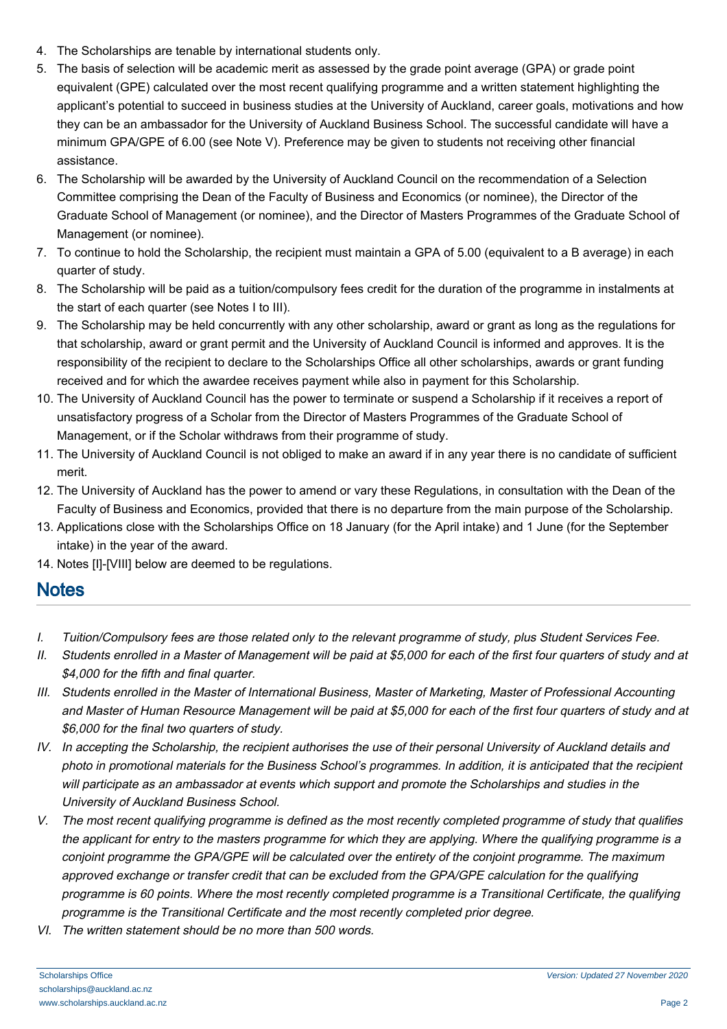- 4. The Scholarships are tenable by international students only.
- 5. The basis of selection will be academic merit as assessed by the grade point average (GPA) or grade point equivalent (GPE) calculated over the most recent qualifying programme and a written statement highlighting the applicant's potential to succeed in business studies at the University of Auckland, career goals, motivations and how they can be an ambassador for the University of Auckland Business School. The successful candidate will have a minimum GPA/GPE of 6.00 (see Note V). Preference may be given to students not receiving other financial assistance.
- 6. The Scholarship will be awarded by the University of Auckland Council on the recommendation of a Selection Committee comprising the Dean of the Faculty of Business and Economics (or nominee), the Director of the Graduate School of Management (or nominee), and the Director of Masters Programmes of the Graduate School of Management (or nominee).
- 7. To continue to hold the Scholarship, the recipient must maintain a GPA of 5.00 (equivalent to a B average) in each quarter of study.
- 8. The Scholarship will be paid as a tuition/compulsory fees credit for the duration of the programme in instalments at the start of each quarter (see Notes I to III).
- 9. The Scholarship may be held concurrently with any other scholarship, award or grant as long as the regulations for that scholarship, award or grant permit and the University of Auckland Council is informed and approves. It is the responsibility of the recipient to declare to the Scholarships Office all other scholarships, awards or grant funding received and for which the awardee receives payment while also in payment for this Scholarship.
- 10. The University of Auckland Council has the power to terminate or suspend a Scholarship if it receives a report of unsatisfactory progress of a Scholar from the Director of Masters Programmes of the Graduate School of Management, or if the Scholar withdraws from their programme of study.
- 11. The University of Auckland Council is not obliged to make an award if in any year there is no candidate of sufficient merit.
- 12. The University of Auckland has the power to amend or vary these Regulations, in consultation with the Dean of the Faculty of Business and Economics, provided that there is no departure from the main purpose of the Scholarship.
- 13. Applications close with the Scholarships Office on 18 January (for the April intake) and 1 June (for the September intake) in the year of the award.
- 14. Notes [I]-[VIII] below are deemed to be regulations.

## **Notes**

- I. Tuition/Compulsory fees are those related only to the relevant programme of study, plus Student Services Fee.
- II. Students enrolled in a Master of Management will be paid at \$5,000 for each of the first four quarters of study and at \$4,000 for the fifth and final quarter.
- III. Students enrolled in the Master of International Business, Master of Marketing, Master of Professional Accounting and Master of Human Resource Management will be paid at \$5,000 for each of the first four quarters of study and at \$6,000 for the final two quarters of study.
- IV. In accepting the Scholarship, the recipient authorises the use of their personal University of Auckland details and photo in promotional materials for the Business School's programmes. In addition, it is anticipated that the recipient will participate as an ambassador at events which support and promote the Scholarships and studies in the University of Auckland Business School.
- V. The most recent qualifying programme is defined as the most recently completed programme of study that qualifies the applicant for entry to the masters programme for which they are applying. Where the qualifying programme is a conjoint programme the GPA/GPE will be calculated over the entirety of the conjoint programme. The maximum approved exchange or transfer credit that can be excluded from the GPA/GPE calculation for the qualifying programme is 60 points. Where the most recently completed programme is a Transitional Certificate, the qualifying programme is the Transitional Certificate and the most recently completed prior degree.
- VI. The written statement should be no more than 500 words.